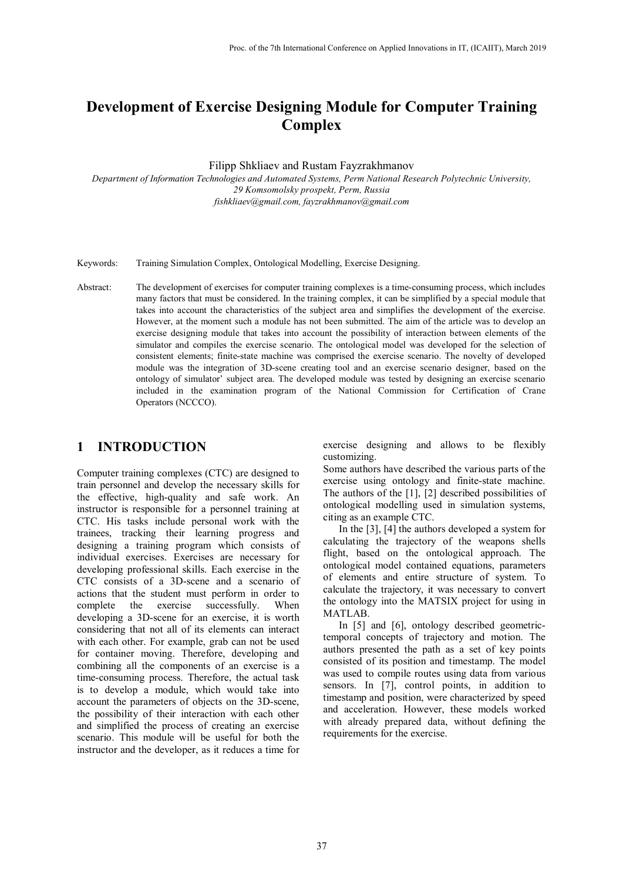# **Development of Exercise Designing Module for Computer Training Complex**

Filipp Shkliaev and Rustam Fayzrakhmanov

*Department of Information Technologies and Automated Systems, Perm National Research Polytechnic University, 29 Komsomolsky prospekt, Perm, Russia fishkliaev@gmail.com, fayzrakhmanov@gmail.com*

Keywords: Training Simulation Complex, Ontological Modelling, Exercise Designing.

Abstract: The development of exercises for computer training complexes is a time-consuming process, which includes many factors that must be considered. In the training complex, it can be simplified by a special module that takes into account the characteristics of the subject area and simplifies the development of the exercise. However, at the moment such a module has not been submitted. The aim of the article was to develop an exercise designing module that takes into account the possibility of interaction between elements of the simulator and compiles the exercise scenario. The ontological model was developed for the selection of consistent elements; finite-state machine was comprised the exercise scenario. The novelty of developed module was the integration of 3D-scene creating tool and an exercise scenario designer, based on the ontology of simulator' subject area. The developed module was tested by designing an exercise scenario included in the examination program of the National Commission for Certification of Crane Operators (NCCCO).

### **1 INTRODUCTION**

Computer training complexes (CTC) are designed to train personnel and develop the necessary skills for the effective, high-quality and safe work. An instructor is responsible for a personnel training at CTC. His tasks include personal work with the trainees, tracking their learning progress and designing a training program which consists of individual exercises. Exercises are necessary for developing professional skills. Each exercise in the CTC consists of a 3D-scene and a scenario of actions that the student must perform in order to complete the exercise successfully. When developing a 3D-scene for an exercise, it is worth considering that not all of its elements can interact with each other. For example, grab can not be used for container moving. Therefore, developing and combining all the components of an exercise is a time-consuming process. Therefore, the actual task is to develop a module, which would take into account the parameters of objects on the 3D-scene, the possibility of their interaction with each other and simplified the process of creating an exercise scenario. This module will be useful for both the instructor and the developer, as it reduces a time for exercise designing and allows to be flexibly customizing.

Some authors have described the various parts of the exercise using ontology and finite-state machine. The authors of the [1], [2] described possibilities of ontological modelling used in simulation systems, citing as an example CTC.

In the [3], [4] the authors developed a system for calculating the trajectory of the weapons shells flight, based on the ontological approach. The ontological model contained equations, parameters of elements and entire structure of system. To calculate the trajectory, it was necessary to convert the ontology into the MATSIX project for using in MATLAB.

In [5] and [6], ontology described geometrictemporal concepts of trajectory and motion. The authors presented the path as a set of key points consisted of its position and timestamp. The model was used to compile routes using data from various sensors. In [7], control points, in addition to timestamp and position, were characterized by speed and acceleration. However, these models worked with already prepared data, without defining the requirements for the exercise.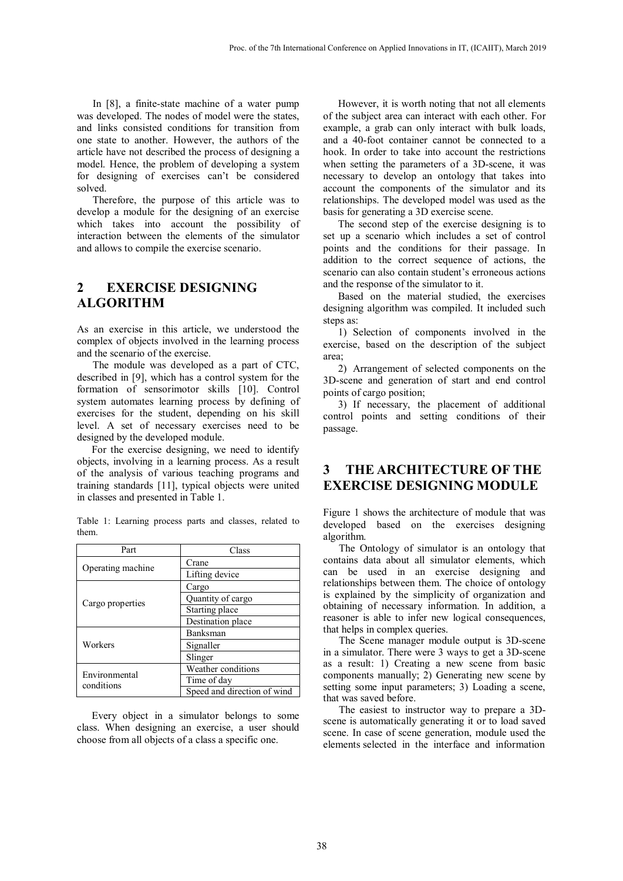In [8], a finite-state machine of a water pump was developed. The nodes of model were the states, and links consisted conditions for transition from one state to another. However, the authors of the article have not described the process of designing a model. Hence, the problem of developing a system for designing of exercises can't be considered solved.

Therefore, the purpose of this article was to develop a module for the designing of an exercise which takes into account the possibility of interaction between the elements of the simulator and allows to compile the exercise scenario.

# **2 EXERCISE DESIGNING ALGORITHM**

As an exercise in this article, we understood the complex of objects involved in the learning process and the scenario of the exercise.

The module was developed as a part of CTC, described in [9], which has a control system for the formation of sensorimotor skills [10]. Control system automates learning process by defining of exercises for the student, depending on his skill level. A set of necessary exercises need to be designed by the developed module.

For the exercise designing, we need to identify objects, involving in a learning process. As a result of the analysis of various teaching programs and training standards [11], typical objects were united in classes and presented in Table 1.

Table 1: Learning process parts and classes, related to them.

| Part                        | Class                       |  |  |
|-----------------------------|-----------------------------|--|--|
| Operating machine           | Crane                       |  |  |
|                             | Lifting device              |  |  |
| Cargo properties            | Cargo                       |  |  |
|                             | Quantity of cargo           |  |  |
|                             | Starting place              |  |  |
|                             | Destination place           |  |  |
| Workers                     | Banksman                    |  |  |
|                             | Signaller                   |  |  |
|                             | Slinger                     |  |  |
| Environmental<br>conditions | Weather conditions          |  |  |
|                             | Time of day                 |  |  |
|                             | Speed and direction of wind |  |  |

Every object in a simulator belongs to some class. When designing an exercise, a user should choose from all objects of a class a specific one.

However, it is worth noting that not all elements of the subject area can interact with each other. For example, a grab can only interact with bulk loads, and a 40-foot container cannot be connected to a hook. In order to take into account the restrictions when setting the parameters of a 3D-scene, it was necessary to develop an ontology that takes into account the components of the simulator and its relationships. The developed model was used as the basis for generating a 3D exercise scene.

The second step of the exercise designing is to set up a scenario which includes a set of control points and the conditions for their passage. In addition to the correct sequence of actions, the scenario can also contain student's erroneous actions and the response of the simulator to it.

Based on the material studied, the exercises designing algorithm was compiled. It included such steps as:

1) Selection of components involved in the exercise, based on the description of the subject area;

2) Arrangement of selected components on the 3D-scene and generation of start and end control points of cargo position;

3) If necessary, the placement of additional control points and setting conditions of their passage.

# **3 THE ARCHITECTURE OF THE EXERCISE DESIGNING MODULE**

Figure 1 shows the architecture of module that was developed based on the exercises designing algorithm.

The Ontology of simulator is an ontology that contains data about all simulator elements, which can be used in an exercise designing and relationships between them. The choice of ontology is explained by the simplicity of organization and obtaining of necessary information. In addition, a reasoner is able to infer new logical consequences, that helps in complex queries.

The Scene manager module output is 3D-scene in a simulator. There were 3 ways to get a 3D-scene as a result: 1) Creating a new scene from basic components manually; 2) Generating new scene by setting some input parameters; 3) Loading a scene, that was saved before.

The easiest to instructor way to prepare a 3Dscene is automatically generating it or to load saved scene. In case of scene generation, module used the elements selected in the interface and information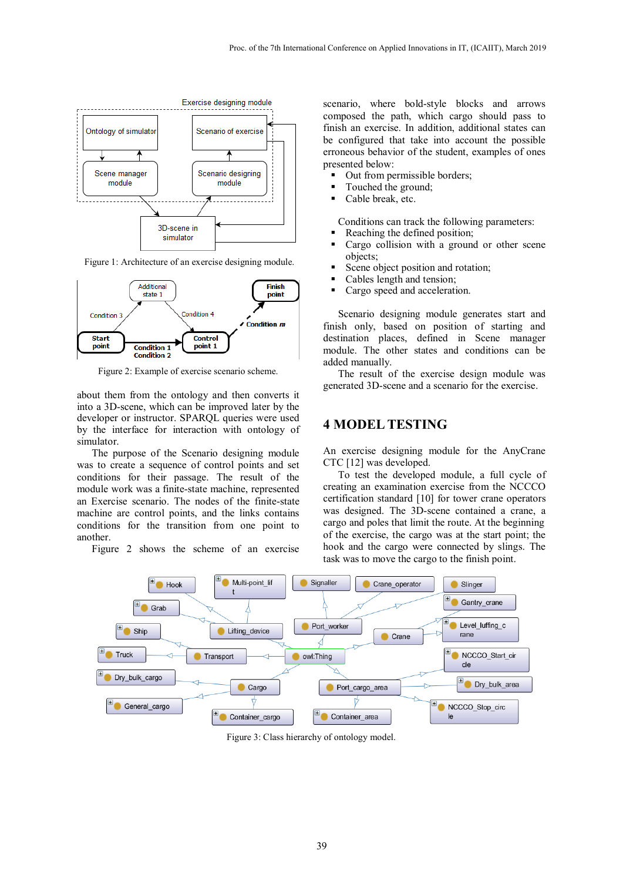

Figure 1: Architecture of an exercise designing module.



Figure 2: Example of exercise scenario scheme.

about them from the ontology and then converts it into a 3D-scene, which can be improved later by the developer or instructor. SPARQL queries were used by the interface for interaction with ontology of simulator.

The purpose of the Scenario designing module was to create a sequence of control points and set conditions for their passage. The result of the module work was a finite-state machine, represented an Exercise scenario. The nodes of the finite-state machine are control points, and the links contains conditions for the transition from one point to another.

Figure 2 shows the scheme of an exercise

scenario, where bold-style blocks and arrows composed the path, which cargo should pass to finish an exercise. In addition, additional states can be configured that take into account the possible erroneous behavior of the student, examples of ones presented below:

- Out from permissible borders;
- Touched the ground;
- Cable break, etc.

Conditions can track the following parameters:

- Reaching the defined position;
- Cargo collision with a ground or other scene objects;
- Scene object position and rotation;
- Cables length and tension;
- Cargo speed and acceleration.

Scenario designing module generates start and finish only, based on position of starting and destination places, defined in Scene manager module. The other states and conditions can be added manually.

The result of the exercise design module was generated 3D-scene and a scenario for the exercise.

#### **4 MODEL TESTING**

An exercise designing module for the AnyCrane CTC [12] was developed.

To test the developed module, a full cycle of creating an examination exercise from the NCCCO certification standard [10] for tower crane operators was designed. The 3D-scene contained a crane, a cargo and poles that limit the route. At the beginning of the exercise, the cargo was at the start point; the hook and the cargo were connected by slings. The task was to move the cargo to the finish point.



Figure 3: Class hierarchy of ontology model.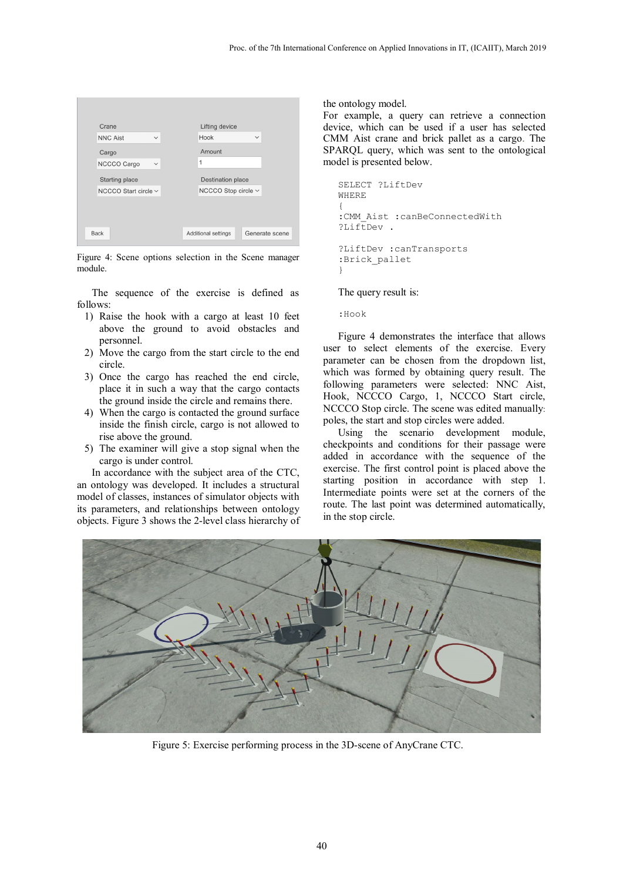| Crane           |                           |        | Lifting device             |                   |                |  |
|-----------------|---------------------------|--------|----------------------------|-------------------|----------------|--|
| <b>NNC Aist</b> | $\checkmark$              | Hook   |                            | $\checkmark$      |                |  |
| Cargo           |                           | Amount |                            |                   |                |  |
| NCCCO Cargo     | $\checkmark$              | 1      |                            |                   |                |  |
| Starting place  |                           |        |                            | Destination place |                |  |
|                 | NCCCO Start circle $\vee$ |        | NCCCO Stop circle ~        |                   |                |  |
|                 |                           |        |                            |                   |                |  |
|                 |                           |        |                            |                   |                |  |
| <b>Back</b>     |                           |        | <b>Additional settings</b> |                   | Generate scene |  |

Figure 4: Scene options selection in the Scene manager module.

The sequence of the exercise is defined as follows:

- 1) Raise the hook with a cargo at least 10 feet above the ground to avoid obstacles and personnel.
- 2) Move the cargo from the start circle to the end circle.
- 3) Once the cargo has reached the end circle, place it in such a way that the cargo contacts the ground inside the circle and remains there.
- 4) When the cargo is contacted the ground surface inside the finish circle, cargo is not allowed to rise above the ground.
- 5) The examiner will give a stop signal when the cargo is under control.

In accordance with the subject area of the CTC, an ontology was developed. It includes a structural model of classes, instances of simulator objects with its parameters, and relationships between ontology objects. Figure 3 shows the 2-level class hierarchy of the ontology model.

For example, a query can retrieve a connection device, which can be used if a user has selected CMM Aist crane and brick pallet as a cargo. The SPARQL query, which was sent to the ontological model is presented below.

```
SELECT ?LiftDev 
WHERE 
{ 
:CMM_Aist :canBeConnectedWith 
?LiftDev.
?LiftDev :canTransports
:Brick_pallet 
}
```
The query result is:

:Hook

Figure 4 demonstrates the interface that allows user to select elements of the exercise. Every parameter can be chosen from the dropdown list, which was formed by obtaining query result. The following parameters were selected: NNC Aist, Hook, NCCCO Cargo, 1, NCCCO Start circle, NCCCO Stop circle. The scene was edited manually: poles, the start and stop circles were added.

Using the scenario development module, checkpoints and conditions for their passage were added in accordance with the sequence of the exercise. The first control point is placed above the starting position in accordance with step 1. Intermediate points were set at the corners of the route. The last point was determined automatically, in the stop circle.



Figure 5: Exercise performing process in the 3D-scene of AnyCrane CTC.